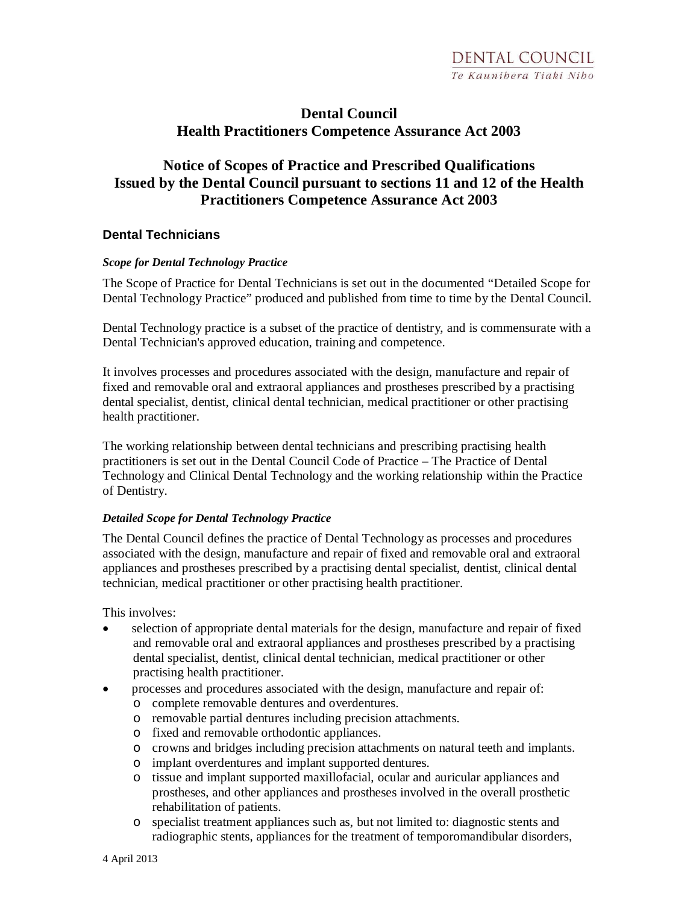# **Dental Council Health Practitioners Competence Assurance Act 2003**

# **Notice of Scopes of Practice and Prescribed Qualifications Issued by the Dental Council pursuant to sections 11 and 12 of the Health Practitioners Competence Assurance Act 2003**

## **Dental Technicians**

#### *Scope for Dental Technology Practice*

The Scope of Practice for Dental Technicians is set out in the documented "Detailed Scope for Dental Technology Practice" produced and published from time to time by the Dental Council.

Dental Technology practice is a subset of the practice of dentistry, and is commensurate with a Dental Technician's approved education, training and competence.

It involves processes and procedures associated with the design, manufacture and repair of fixed and removable oral and extraoral appliances and prostheses prescribed by a practising dental specialist, dentist, clinical dental technician, medical practitioner or other practising health practitioner.

The working relationship between dental technicians and prescribing practising health practitioners is set out in the Dental Council Code of Practice – The Practice of Dental Technology and Clinical Dental Technology and the working relationship within the Practice of Dentistry.

#### *Detailed Scope for Dental Technology Practice*

The Dental Council defines the practice of Dental Technology as processes and procedures associated with the design, manufacture and repair of fixed and removable oral and extraoral appliances and prostheses prescribed by a practising dental specialist, dentist, clinical dental technician, medical practitioner or other practising health practitioner.

This involves:

- selection of appropriate dental materials for the design, manufacture and repair of fixed and removable oral and extraoral appliances and prostheses prescribed by a practising dental specialist, dentist, clinical dental technician, medical practitioner or other practising health practitioner.
- processes and procedures associated with the design, manufacture and repair of:
	- o complete removable dentures and overdentures.
	- o removable partial dentures including precision attachments.
	- o fixed and removable orthodontic appliances.
	- o crowns and bridges including precision attachments on natural teeth and implants.
	- o implant overdentures and implant supported dentures.
	- o tissue and implant supported maxillofacial, ocular and auricular appliances and prostheses, and other appliances and prostheses involved in the overall prosthetic rehabilitation of patients.
	- o specialist treatment appliances such as, but not limited to: diagnostic stents and radiographic stents, appliances for the treatment of temporomandibular disorders,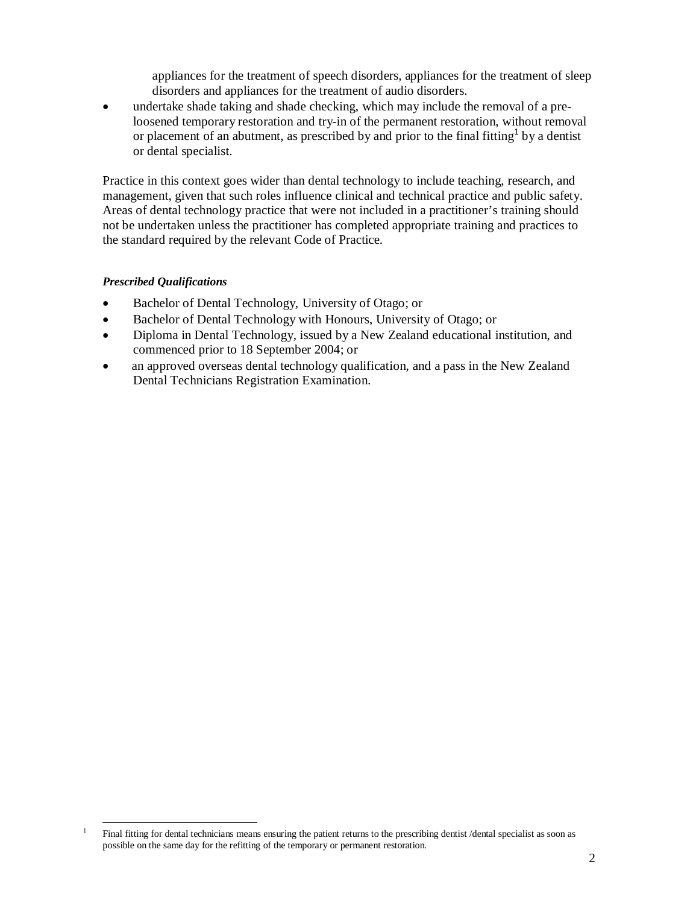appliances for the treatment of speech disorders, appliances for the treatment of sleep disorders and appliances for the treatment of audio disorders.

undertake shade taking and shade checking, which may include the removal of a preloosened temporary restoration and try-in of the permanent restoration, without removal or placement of an abutment, as prescribed by and prior to the final fitting<sup>1</sup> by a dentist or dental specialist.

Practice in this context goes wider than dental technology to include teaching, research, and management, given that such roles influence clinical and technical practice and public safety. Areas of dental technology practice that were not included in a practitioner's training should not be undertaken unless the practitioner has completed appropriate training and practices to the standard required by the relevant Code of Practice.

#### *Prescribed Qualifications*

- Bachelor of Dental Technology, University of Otago; or
- Bachelor of Dental Technology with Honours, University of Otago; or
- Diploma in Dental Technology, issued by a New Zealand educational institution, and commenced prior to 18 September 2004; or
- an approved overseas dental technology qualification, and a pass in the New Zealand Dental Technicians Registration Examination.

 $\overline{a}$ 1 Final fitting for dental technicians means ensuring the patient returns to the prescribing dentist /dental specialist as soon as possible on the same day for the refitting of the temporary or permanent restoration.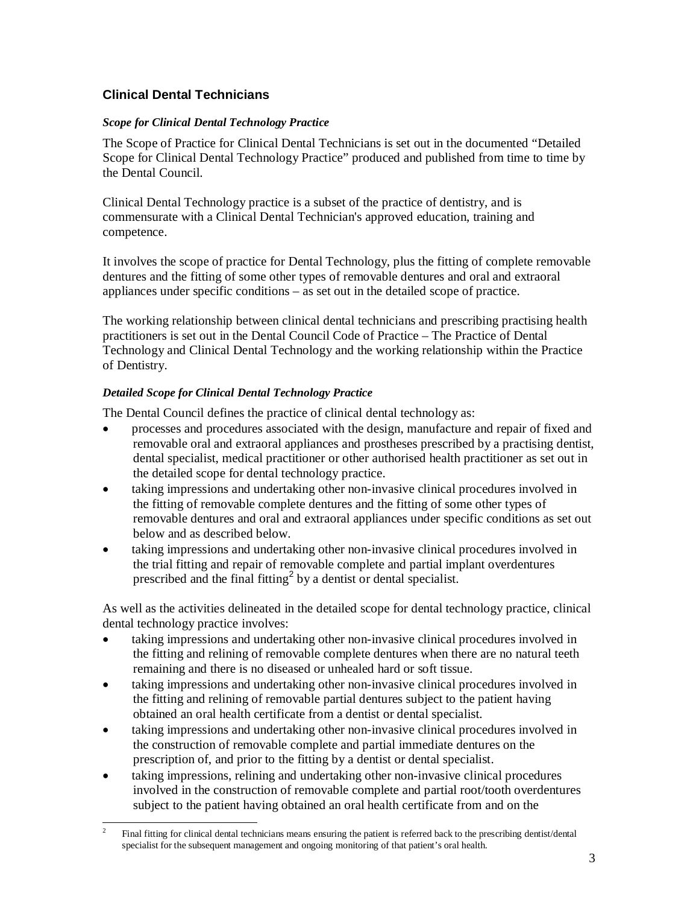# **Clinical Dental Technicians**

### *Scope for Clinical Dental Technology Practice*

The Scope of Practice for Clinical Dental Technicians is set out in the documented "Detailed Scope for Clinical Dental Technology Practice" produced and published from time to time by the Dental Council.

Clinical Dental Technology practice is a subset of the practice of dentistry, and is commensurate with a Clinical Dental Technician's approved education, training and competence.

It involves the scope of practice for Dental Technology, plus the fitting of complete removable dentures and the fitting of some other types of removable dentures and oral and extraoral appliances under specific conditions – as set out in the detailed scope of practice.

The working relationship between clinical dental technicians and prescribing practising health practitioners is set out in the Dental Council Code of Practice – The Practice of Dental Technology and Clinical Dental Technology and the working relationship within the Practice of Dentistry.

## *Detailed Scope for Clinical Dental Technology Practice*

The Dental Council defines the practice of clinical dental technology as:

- processes and procedures associated with the design, manufacture and repair of fixed and removable oral and extraoral appliances and prostheses prescribed by a practising dentist, dental specialist, medical practitioner or other authorised health practitioner as set out in the detailed scope for dental technology practice.
- taking impressions and undertaking other non-invasive clinical procedures involved in the fitting of removable complete dentures and the fitting of some other types of removable dentures and oral and extraoral appliances under specific conditions as set out below and as described below.
- taking impressions and undertaking other non-invasive clinical procedures involved in the trial fitting and repair of removable complete and partial implant overdentures prescribed and the final fitting<sup>2</sup> by a dentist or dental specialist.

As well as the activities delineated in the detailed scope for dental technology practice, clinical dental technology practice involves:

- taking impressions and undertaking other non-invasive clinical procedures involved in the fitting and relining of removable complete dentures when there are no natural teeth remaining and there is no diseased or unhealed hard or soft tissue.
- taking impressions and undertaking other non-invasive clinical procedures involved in the fitting and relining of removable partial dentures subject to the patient having obtained an oral health certificate from a dentist or dental specialist.
- taking impressions and undertaking other non-invasive clinical procedures involved in the construction of removable complete and partial immediate dentures on the prescription of, and prior to the fitting by a dentist or dental specialist.
- taking impressions, relining and undertaking other non-invasive clinical procedures involved in the construction of removable complete and partial root/tooth overdentures subject to the patient having obtained an oral health certificate from and on the

 $\overline{a}$ 2 Final fitting for clinical dental technicians means ensuring the patient is referred back to the prescribing dentist/dental specialist for the subsequent management and ongoing monitoring of that patient's oral health.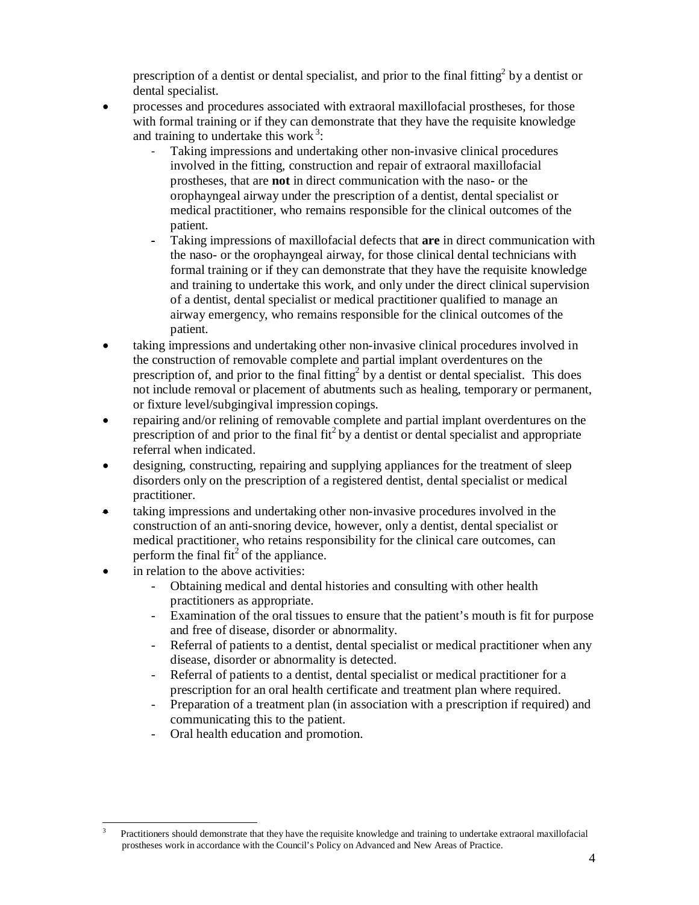prescription of a dentist or dental specialist, and prior to the final fitting<sup>2</sup> by a dentist or dental specialist.

- processes and procedures associated with extraoral maxillofacial prostheses, for those with formal training or if they can demonstrate that they have the requisite knowledge and training to undertake this work<sup>3</sup>:
	- Taking impressions and undertaking other non-invasive clinical procedures involved in the fitting, construction and repair of extraoral maxillofacial prostheses, that are **not** in direct communication with the naso- or the orophayngeal airway under the prescription of a dentist, dental specialist or medical practitioner, who remains responsible for the clinical outcomes of the patient.
	- Taking impressions of maxillofacial defects that **are** in direct communication with the naso- or the orophayngeal airway, for those clinical dental technicians with formal training or if they can demonstrate that they have the requisite knowledge and training to undertake this work, and only under the direct clinical supervision of a dentist, dental specialist or medical practitioner qualified to manage an airway emergency, who remains responsible for the clinical outcomes of the patient.
- taking impressions and undertaking other non-invasive clinical procedures involved in the construction of removable complete and partial implant overdentures on the prescription of, and prior to the final fitting<sup>2</sup> by a dentist or dental specialist. This does not include removal or placement of abutments such as healing, temporary or permanent, or fixture level/subgingival impression copings.
- repairing and/or relining of removable complete and partial implant overdentures on the prescription of and prior to the final fit<sup>2</sup> by a dentist or dental specialist and appropriate referral when indicated.
- designing, constructing, repairing and supplying appliances for the treatment of sleep disorders only on the prescription of a registered dentist, dental specialist or medical practitioner.
- taking impressions and undertaking other non-invasive procedures involved in the construction of an anti-snoring device, however, only a dentist, dental specialist or medical practitioner, who retains responsibility for the clinical care outcomes, can perform the final  $fit^2$  of the appliance.
- in relation to the above activities:
	- Obtaining medical and dental histories and consulting with other health practitioners as appropriate.
	- Examination of the oral tissues to ensure that the patient's mouth is fit for purpose and free of disease, disorder or abnormality.
	- Referral of patients to a dentist, dental specialist or medical practitioner when any disease, disorder or abnormality is detected.
	- Referral of patients to a dentist, dental specialist or medical practitioner for a prescription for an oral health certificate and treatment plan where required.
	- Preparation of a treatment plan (in association with a prescription if required) and communicating this to the patient.
	- Oral health education and promotion.

 $\overline{a}$ 3 Practitioners should demonstrate that they have the requisite knowledge and training to undertake extraoral maxillofacial prostheses work in accordance with the Council's Policy on Advanced and New Areas of Practice.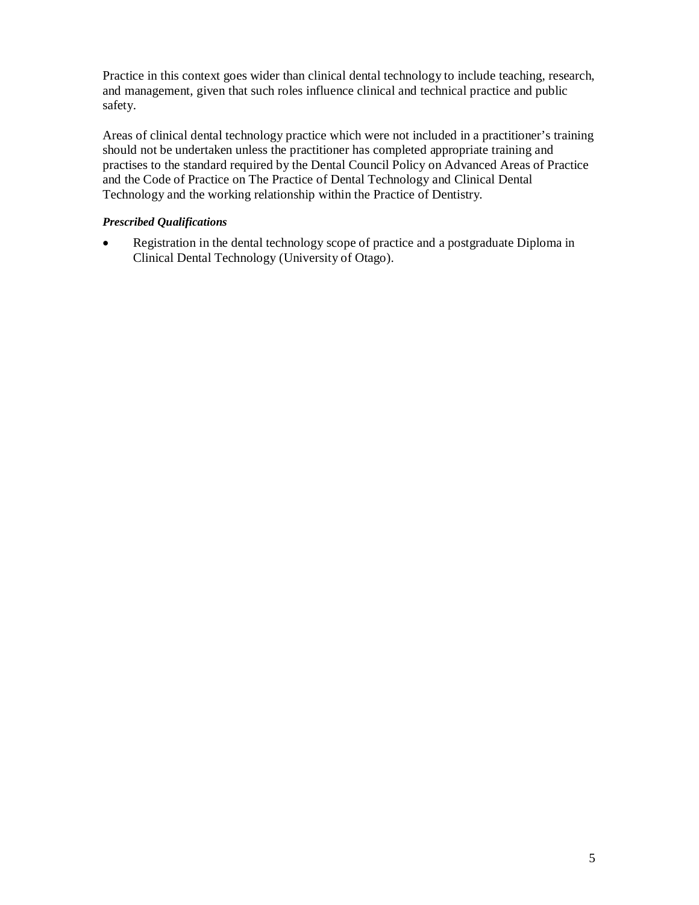Practice in this context goes wider than clinical dental technology to include teaching, research, and management, given that such roles influence clinical and technical practice and public safety.

Areas of clinical dental technology practice which were not included in a practitioner's training should not be undertaken unless the practitioner has completed appropriate training and practises to the standard required by the Dental Council Policy on Advanced Areas of Practice and the Code of Practice on The Practice of Dental Technology and Clinical Dental Technology and the working relationship within the Practice of Dentistry.

### *Prescribed Qualifications*

• Registration in the dental technology scope of practice and a postgraduate Diploma in Clinical Dental Technology (University of Otago).